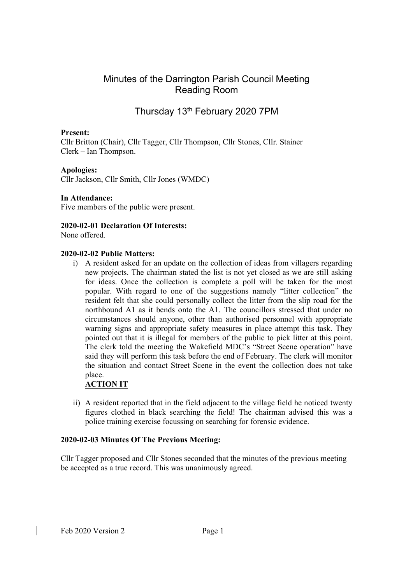# Minutes of the Darrington Parish Council Meeting Reading Room

# Thursday 13th February 2020 7PM

### Present:

Cllr Britton (Chair), Cllr Tagger, Cllr Thompson, Cllr Stones, Cllr. Stainer Clerk – Ian Thompson.

#### Apologies:

Cllr Jackson, Cllr Smith, Cllr Jones (WMDC)

#### In Attendance:

Five members of the public were present.

#### 2020-02-01 Declaration Of Interests:

None offered.

#### 2020-02-02 Public Matters:

i) A resident asked for an update on the collection of ideas from villagers regarding new projects. The chairman stated the list is not yet closed as we are still asking for ideas. Once the collection is complete a poll will be taken for the most popular. With regard to one of the suggestions namely "litter collection" the resident felt that she could personally collect the litter from the slip road for the northbound A1 as it bends onto the A1. The councillors stressed that under no circumstances should anyone, other than authorised personnel with appropriate warning signs and appropriate safety measures in place attempt this task. They pointed out that it is illegal for members of the public to pick litter at this point. The clerk told the meeting the Wakefield MDC's "Street Scene operation" have said they will perform this task before the end of February. The clerk will monitor the situation and contact Street Scene in the event the collection does not take place.

## ACTION IT

ii) A resident reported that in the field adjacent to the village field he noticed twenty figures clothed in black searching the field! The chairman advised this was a police training exercise focussing on searching for forensic evidence.

#### 2020-02-03 Minutes Of The Previous Meeting:

Cllr Tagger proposed and Cllr Stones seconded that the minutes of the previous meeting be accepted as a true record. This was unanimously agreed.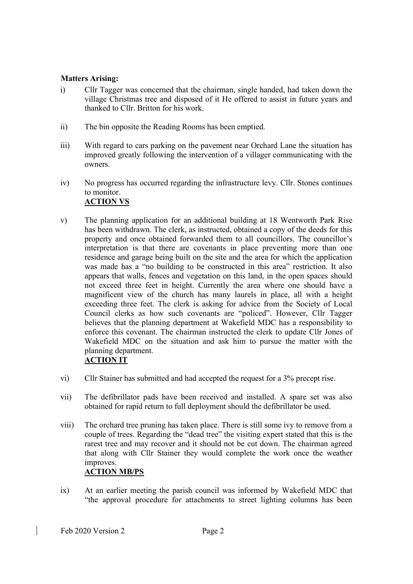#### Matters Arising:

- i) Cllr Tagger was concerned that the chairman, single handed, had taken down the village Christmas tree and disposed of it He offered to assist in future years and thanked to Cllr. Britton for his work.
- ii) The bin opposite the Reading Rooms has been emptied.
- iii) With regard to cars parking on the pavement near Orchard Lane the situation has improved greatly following the intervention of a villager communicating with the owners.
- iv) No progress has occurred regarding the infrastructure levy. Cllr. Stones continues to monitor. ACTION VS
- v) The planning application for an additional building at 18 Wentworth Park Rise has been withdrawn. The clerk, as instructed, obtained a copy of the deeds for this property and once obtained forwarded them to all councillors. The councillor's interpretation is that there are covenants in place preventing more than one residence and garage being built on the site and the area for which the application was made has a "no building to be constructed in this area" restriction. It also appears that walls, fences and vegetation on this land, in the open spaces should not exceed three feet in height. Currently the area where one should have a magnificent view of the church has many laurels in place, all with a height exceeding three feet. The clerk is asking for advice from the Society of Local Council clerks as how such covenants are "policed". However, Cllr Tagger believes that the planning department at Wakefield MDC has a responsibility to enforce this covenant. The chairman instructed the clerk to update Cllr Jones of Wakefield MDC on the situation and ask him to pursue the matter with the planning department.

## ACTION IT

- vi) Cllr Stainer has submitted and had accepted the request for a 3% precept rise.
- vii) The defibrillator pads have been received and installed. A spare set was also obtained for rapid return to full deployment should the defibrillator be used.
- viii) The orchard tree pruning has taken place. There is still some ivy to remove from a couple of trees. Regarding the "dead tree" the visiting expert stated that this is the rarest tree and may recover and it should not be cut down. The chairman agreed that along with Cllr Stainer they would complete the work once the weather improves. ACTION MB/PS
- ix) At an earlier meeting the parish council was informed by Wakefield MDC that "the approval procedure for attachments to street lighting columns has been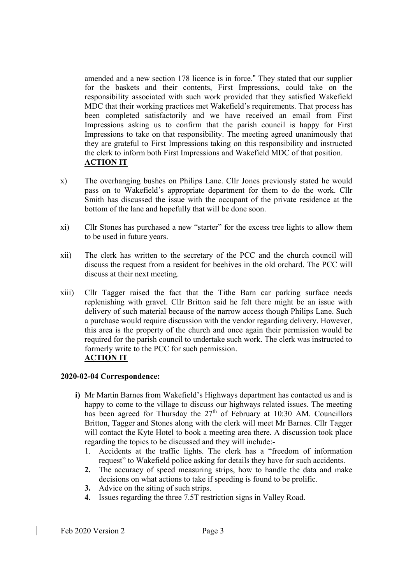amended and a new section 178 licence is in force." They stated that our supplier for the baskets and their contents, First Impressions, could take on the responsibility associated with such work provided that they satisfied Wakefield MDC that their working practices met Wakefield's requirements. That process has been completed satisfactorily and we have received an email from First Impressions asking us to confirm that the parish council is happy for First Impressions to take on that responsibility. The meeting agreed unanimously that they are grateful to First Impressions taking on this responsibility and instructed the clerk to inform both First Impressions and Wakefield MDC of that position. ACTION IT

- x) The overhanging bushes on Philips Lane. Cllr Jones previously stated he would pass on to Wakefield's appropriate department for them to do the work. Cllr Smith has discussed the issue with the occupant of the private residence at the bottom of the lane and hopefully that will be done soon.
- xi) Cllr Stones has purchased a new "starter" for the excess tree lights to allow them to be used in future years.
- xii) The clerk has written to the secretary of the PCC and the church council will discuss the request from a resident for beehives in the old orchard. The PCC will discuss at their next meeting.
- xiii) Cllr Tagger raised the fact that the Tithe Barn car parking surface needs replenishing with gravel. Cllr Britton said he felt there might be an issue with delivery of such material because of the narrow access though Philips Lane. Such a purchase would require discussion with the vendor regarding delivery. However, this area is the property of the church and once again their permission would be required for the parish council to undertake such work. The clerk was instructed to formerly write to the PCC for such permission. ACTION IT

#### 2020-02-04 Correspondence:

- i) Mr Martin Barnes from Wakefield's Highways department has contacted us and is happy to come to the village to discuss our highways related issues. The meeting has been agreed for Thursday the  $27<sup>th</sup>$  of February at 10:30 AM. Councillors Britton, Tagger and Stones along with the clerk will meet Mr Barnes. Cllr Tagger will contact the Kyte Hotel to book a meeting area there. A discussion took place regarding the topics to be discussed and they will include:-
	- 1. Accidents at the traffic lights. The clerk has a "freedom of information request" to Wakefield police asking for details they have for such accidents.
	- 2. The accuracy of speed measuring strips, how to handle the data and make decisions on what actions to take if speeding is found to be prolific.
	- 3. Advice on the siting of such strips.
	- 4. Issues regarding the three 7.5T restriction signs in Valley Road.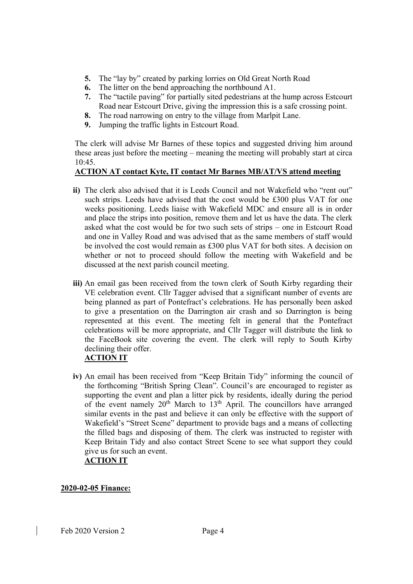- 5. The "lay by" created by parking lorries on Old Great North Road
- 6. The litter on the bend approaching the northbound A1.
- 7. The "tactile paving" for partially sited pedestrians at the hump across Estcourt Road near Estcourt Drive, giving the impression this is a safe crossing point.
- 8. The road narrowing on entry to the village from Marlpit Lane.
- 9. Jumping the traffic lights in Estcourt Road.

The clerk will advise Mr Barnes of these topics and suggested driving him around these areas just before the meeting – meaning the meeting will probably start at circa 10:45.

## ACTION AT contact Kyte, IT contact Mr Barnes MB/AT/VS attend meeting

- ii) The clerk also advised that it is Leeds Council and not Wakefield who "rent out" such strips. Leeds have advised that the cost would be £300 plus VAT for one weeks positioning. Leeds liaise with Wakefield MDC and ensure all is in order and place the strips into position, remove them and let us have the data. The clerk asked what the cost would be for two such sets of strips – one in Estcourt Road and one in Valley Road and was advised that as the same members of staff would be involved the cost would remain as £300 plus VAT for both sites. A decision on whether or not to proceed should follow the meeting with Wakefield and be discussed at the next parish council meeting.
- iii) An email gas been received from the town clerk of South Kirby regarding their VE celebration event. Cllr Tagger advised that a significant number of events are being planned as part of Pontefract's celebrations. He has personally been asked to give a presentation on the Darrington air crash and so Darrington is being represented at this event. The meeting felt in general that the Pontefract celebrations will be more appropriate, and Cllr Tagger will distribute the link to the FaceBook site covering the event. The clerk will reply to South Kirby declining their offer.

## ACTION IT

iv) An email has been received from "Keep Britain Tidy" informing the council of the forthcoming "British Spring Clean". Council's are encouraged to register as supporting the event and plan a litter pick by residents, ideally during the period of the event namely  $20<sup>th</sup>$  March to  $13<sup>th</sup>$  April. The councillors have arranged similar events in the past and believe it can only be effective with the support of Wakefield's "Street Scene" department to provide bags and a means of collecting the filled bags and disposing of them. The clerk was instructed to register with Keep Britain Tidy and also contact Street Scene to see what support they could give us for such an event.

## ACTION IT

## 2020-02-05 Finance: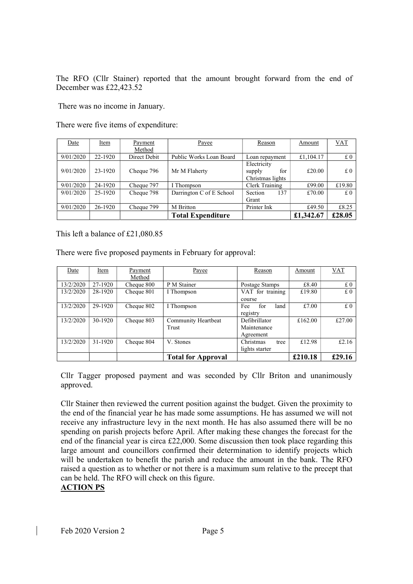The RFO (Cllr Stainer) reported that the amount brought forward from the end of December was £22,423.52

There was no income in January.

There were five items of expenditure:

| Date      | Item    | Payment      | Payee                    | Reason                                           | Amount    | <b>VAT</b> |
|-----------|---------|--------------|--------------------------|--------------------------------------------------|-----------|------------|
|           |         | Method       |                          |                                                  |           |            |
| 9/01/2020 | 22-1920 | Direct Debit | Public Works Loan Board  | Loan repayment                                   | £1,104.17 | £0         |
| 9/01/2020 | 23-1920 | Cheque 796   | Mr M Flaherty            | Electricity<br>for<br>supply<br>Christmas lights | £20.00    | £0         |
| 9/01/2020 | 24-1920 | Cheque 797   | I Thompson               | Clerk Training                                   | £99.00    | £19.80     |
| 9/01/2020 | 25-1920 | Cheque 798   | Darrington C of E School | 137<br>Section<br>Grant                          | £70.00    | £0         |
| 9/01/2020 | 26-1920 | Cheque 799   | M Britton                | Printer Ink                                      | £49.50    | £8.25      |
|           |         |              | <b>Total Expenditure</b> |                                                  | £1,342.67 | £28.05     |

This left a balance of £21,080.85

There were five proposed payments in February for approval:

| Date      | Item    | Payment    | Payee                     | Reason             | Amount  | <b>VAT</b> |
|-----------|---------|------------|---------------------------|--------------------|---------|------------|
|           |         | Method     |                           |                    |         |            |
| 13/2/2020 | 27-1920 | Cheque 800 | P M Stainer               | Postage Stamps     | £8.40   | £0         |
| 13/2/2020 | 28-1920 | Cheque 801 | I Thompson                | VAT for training   | £19.80  | £0         |
|           |         |            |                           | course             |         |            |
| 13/2/2020 | 29-1920 | Cheque 802 | I Thompson                | for<br>Fee<br>land | £7.00   | £0         |
|           |         |            |                           | registry           |         |            |
| 13/2/2020 | 30-1920 | Cheque 803 | Community Heartbeat       | Defibrillator      | £162.00 | £27.00     |
|           |         |            | Trust                     | Maintenance        |         |            |
|           |         |            |                           | Agreement          |         |            |
| 13/2/2020 | 31-1920 | Cheque 804 | V. Stones                 | Christmas<br>tree  | £12.98  | £2.16      |
|           |         |            |                           | lights starter     |         |            |
|           |         |            | <b>Total for Approval</b> |                    | £210.18 | £29.16     |

Cllr Tagger proposed payment and was seconded by Cllr Briton and unanimously approved.

Cllr Stainer then reviewed the current position against the budget. Given the proximity to the end of the financial year he has made some assumptions. He has assumed we will not receive any infrastructure levy in the next month. He has also assumed there will be no spending on parish projects before April. After making these changes the forecast for the end of the financial year is circa £22,000. Some discussion then took place regarding this large amount and councillors confirmed their determination to identify projects which will be undertaken to benefit the parish and reduce the amount in the bank. The RFO raised a question as to whether or not there is a maximum sum relative to the precept that can be held. The RFO will check on this figure.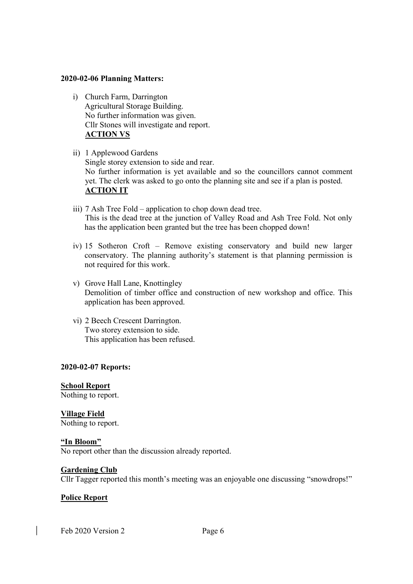#### 2020-02-06 Planning Matters:

- i) Church Farm, Darrington Agricultural Storage Building. No further information was given. Cllr Stones will investigate and report. ACTION VS
- ii) 1 Applewood Gardens Single storey extension to side and rear. No further information is yet available and so the councillors cannot comment yet. The clerk was asked to go onto the planning site and see if a plan is posted. ACTION IT
- iii) 7 Ash Tree Fold application to chop down dead tree. This is the dead tree at the junction of Valley Road and Ash Tree Fold. Not only has the application been granted but the tree has been chopped down!
- iv) 15 Sotheron Croft Remove existing conservatory and build new larger conservatory. The planning authority's statement is that planning permission is not required for this work.
- v) Grove Hall Lane, Knottingley Demolition of timber office and construction of new workshop and office. This application has been approved.
- vi) 2 Beech Crescent Darrington. Two storey extension to side. This application has been refused.

#### 2020-02-07 Reports:

School Report Nothing to report.

Village Field Nothing to report.

"In Bloom" No report other than the discussion already reported.

#### Gardening Club

Cllr Tagger reported this month's meeting was an enjoyable one discussing "snowdrops!"

#### Police Report